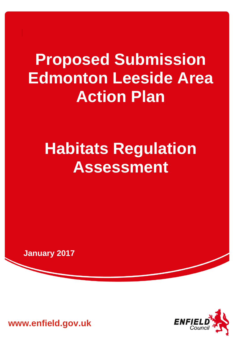# **Proposed Submission Edmonton Leeside Area Action Plan**

# **Habitats Regulation Assessment**

**January 2017**



**www.enfield.gov.uk**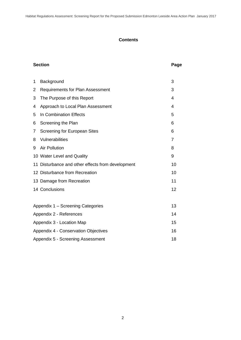# **Contents**

# **Section Page**

| 1 | Background                                        | 3  |  |
|---|---------------------------------------------------|----|--|
| 2 | <b>Requirements for Plan Assessment</b>           | 3  |  |
| 3 | The Purpose of this Report                        | 4  |  |
| 4 | Approach to Local Plan Assessment                 | 4  |  |
| 5 | In Combination Effects                            | 5  |  |
| 6 | Screening the Plan                                | 6  |  |
| 7 | <b>Screening for European Sites</b>               | 6  |  |
| 8 | Vulnerabilities                                   | 7  |  |
| 9 | <b>Air Pollution</b>                              | 8  |  |
|   | 10 Water Level and Quality                        | 9  |  |
|   | 11 Disturbance and other effects from development | 10 |  |
|   | 12 Disturbance from Recreation                    | 10 |  |
|   | 13 Damage from Recreation                         | 11 |  |
|   | 14 Conclusions                                    | 12 |  |
|   |                                                   |    |  |
|   | Appendix 1 - Screening Categories<br>13           |    |  |
|   | Appendix 2 - References<br>14                     |    |  |
|   | Appendix 3 - Location Map<br>15                   |    |  |
|   | Appendix 4 - Conservation Objectives<br>16        |    |  |
|   | Appendix 5 - Screening Assessment<br>18           |    |  |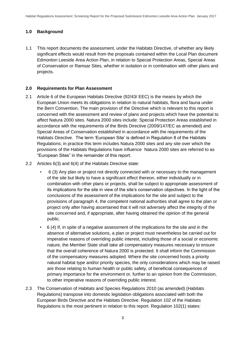# **1.0 Background**

1.1 This report documents the assessment, under the Habitats Directive, of whether any likely significant effects would result from the proposals contained within the Local Plan document Edmonton Leeside Area Action Plan, in relation to Special Protection Areas, Special Areas of Conservation or Ramsar Sites, whether in isolation or in combination with other plans and projects.

### **2.0 Requirements for Plan Assessment**

- 2.1 Article 6 of the European Habitats Directive (92/43/ EEC) is the means by which the European Union meets its obligations in relation to natural habitats, flora and fauna under the Bern Convention. The main provision of the Directive which is relevant to this report is concerned with the assessment and review of plans and projects which have the potential to affect Natura 2000 sites. Natura 2000 sites include: Special Protection Areas established in accordance with the requirements of the Birds Directive (2009/147/EC as amended) and Special Areas of Conservation established in accordance with the requirements of the Habitats Directive. The term 'European Site' is defined in Regulation 8 of the Habitats Regulations; in practice this term includes Natura 2000 sites and any site over which the provisions of the Habitats Regulations have influence Natura 2000 sites are referred to as "European Sites" in the remainder of this report.
- 2.2 Articles 6(3) and 6(4) of the Habitats Directive state:
	- 6 (3) Any plan or project not directly connected with or necessary to the management of the site but likely to have a significant effect thereon, either individually or in combination with other plans or projects, shall be subject to appropriate assessment of its implications for the site in view of the site's conservation objectives. In the light of the conclusions of the assessment of the implications for the site and subject to the provisions of paragraph 4, the competent national authorities shall agree to the plan or project only after having ascertained that it will not adversely affect the integrity of the site concerned and, if appropriate, after having obtained the opinion of the general public.
	- 6 (4) If, in spite of a negative assessment of the implications for the site and in the absence of alternative solutions, a plan or project must nevertheless be carried out for imperative reasons of overriding public interest, including those of a social or economic nature, the Member State shall take all compensatory measures necessary to ensure that the overall coherence of Natura 2000 is protected. It shall inform the Commission of the compensatory measures adopted. Where the site concerned hosts a priority natural habitat type and/or priority species, the only considerations which may be raised are those relating to human health or public safety, of beneficial consequences of primary importance for the environment or, further to an opinion from the Commission, to other imperative reasons of overriding public interest.
- 2.3 The Conservation of Habitats and Species Regulations 2010 (as amended) (Habitats Regulations) transpose into domestic legislation obligations associated with both the European Birds Directive and the Habitats Directive. Regulation 102 of the Habitats Regulations is the most pertinent in relation to this report. Regulation 102(1) states: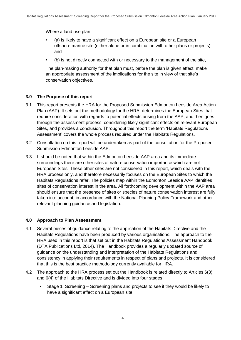Where a land use plan—

- (a) is likely to have a significant effect on a European site or a European offshore marine site (either alone or in combination with other plans or projects), and
- (b) is not directly connected with or necessary to the management of the site,

The plan-making authority for that plan must, before the plan is given effect, make an appropriate assessment of the implications for the site in view of that site's conservation objectives.

# **3.0 The Purpose of this report**

- 3.1 This report presents the HRA for the Proposed Submission Edmonton Leeside Area Action Plan (AAP). It sets out the methodology for the HRA, determines the European Sites that require consideration with regards to potential effects arising from the AAP, and then goes through the assessment process, considering likely significant effects on relevant European Sites, and provides a conclusion. Throughout this report the term 'Habitats Regulations Assessment' covers the whole process required under the Habitats Regulations.
- 3.2 Consultation on this report will be undertaken as part of the consultation for the Proposed Submission Edmonton Leeside AAP.
- 3.3 It should be noted that within the Edmonton Leeside AAP area and its immediate surroundings there are other sites of nature conservation importance which are not European Sites. These other sites are not considered in this report, which deals with the HRA process only, and therefore necessarily focuses on the European Sites to which the Habitats Regulations refer. The policies map within the Edmonton Leeside AAP identifies sites of conservation interest in the area. All forthcoming development within the AAP area should ensure that the presence of sites or species of nature conservation interest are fully taken into account, in accordance with the National Planning Policy Framework and other relevant planning guidance and legislation.

# **4.0 Approach to Plan Assessment**

- 4.1 Several pieces of guidance relating to the application of the Habitats Directive and the Habitats Regulations have been produced by various organisations. The approach to the HRA used in this report is that set out in the Habitats Regulations Assessment Handbook (DTA Publications Ltd, 2014). The Handbook provides a regularly updated source of guidance on the understanding and interpretation of the Habitats Regulations and consistency in applying their requirements in respect of plans and projects. It is considered that this is the best practice methodology currently available for HRA.
- 4.2 The approach to the HRA process set out the Handbook is related directly to Articles 6(3) and 6(4) of the Habitats Directive and is divided into four stages:
	- Stage 1: Screening Screening plans and projects to see if they would be likely to have a significant effect on a European site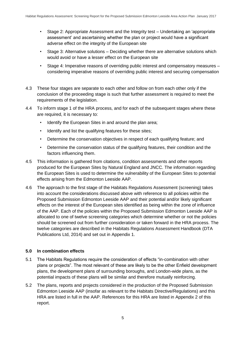- Stage 2: Appropriate Assessment and the Integrity test Undertaking an 'appropriate assessment' and ascertaining whether the plan or project would have a significant adverse effect on the integrity of the European site
- Stage 3: Alternative solutions Deciding whether there are alternative solutions which would avoid or have a lesser effect on the European site
- Stage 4: Imperative reasons of overriding public interest and compensatory measures considering imperative reasons of overriding public interest and securing compensation
- 4.3 These four stages are separate to each other and follow on from each other only if the conclusion of the proceeding stage is such that further assessment is required to meet the requirements of the legislation.
- 4.4 To inform stage 1 of the HRA process, and for each of the subsequent stages where these are required, it is necessary to:
	- Identify the European Sites in and around the plan area;
	- Identify and list the qualifying features for these sites;
	- Determine the conservation objectives in respect of each qualifying feature; and
	- Determine the conservation status of the qualifying features, their condition and the factors influencing them.
- 4.5 This information is gathered from citations, condition assessments and other reports produced for the European Sites by Natural England and JNCC. The information regarding the European Sites is used to determine the vulnerability of the European Sites to potential effects arising from the Edmonton Leeside AAP.
- 4.6 The approach to the first stage of the Habitats Regulations Assessment (screening) takes into account the considerations discussed above with reference to all policies within the Proposed Submission Edmonton Leeside AAP and their potential and/or likely significant effects on the interest of the European sites identified as being within the zone of influence of the AAP. Each of the policies within the Proposed Submission Edmonton Leeside AAP is allocated to one of twelve screening categories which determine whether or not the policies should be screened out from further consideration or taken forward in the HRA process. The twelve categories are described in the Habitats Regulations Assessment Handbook (DTA Publications Ltd, 2014) and set out in Appendix 1.

### **5.0 In combination effects**

- 5.1 The Habitats Regulations require the consideration of effects "in-combination with other plans or projects". The most relevant of these are likely to be the other Enfield development plans, the development plans of surrounding boroughs, and London-wide plans, as the potential impacts of these plans will be similar and therefore mutually reinforcing.
- 5.2 The plans, reports and projects considered in the production of the Proposed Submission Edmonton Leeside AAP (insofar as relevant to the Habitats Directive/Regulations) and this HRA are listed in full in the AAP. References for this HRA are listed in Appendix 2 of this report.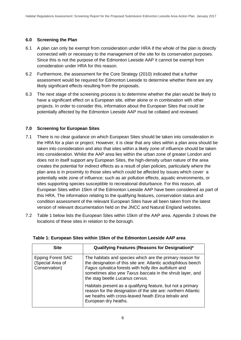# **6.0 Screening the Plan**

- 6.1 A plan can only be exempt from consideration under HRA if the whole of the plan is directly connected with or necessary to the management of the site for its conservation purposes. Since this is not the purpose of the Edmonton Leeside AAP it cannot be exempt from consideration under HRA for this reason.
- 6.2 Furthermore, the assessment for the Core Strategy (2010) indicated that a further assessment would be required for Edmonton Leeside to determine whether there are any likely significant effects resulting from the proposals.
- 6.3 The next stage of the screening process is to determine whether the plan would be likely to have a significant effect on a European site, either alone or in combination with other projects. In order to consider this, information about the European Sites that could be potentially affected by the Edmonton Leeside AAP must be collated and reviewed.

# **7.0 Screening for European Sites**

- 7.1 There is no clear guidance on which European Sites should be taken into consideration in the HRA for a plan or project. However, it is clear that any sites within a plan area should be taken into consideration and also that sites within a likely zone of influence should be taken into consideration. Whilst the AAP area lies within the urban zone of greater London and does not in itself support any European Sites, the high-density urban nature of the area creates the potential for indirect effects as a result of plan policies, particularly where the plan area is in proximity to those sites which could be affected by issues which cover a potentially wide zone of influence; such as air pollution effects, aquatic environments, or sites supporting species susceptible to recreational disturbance. For this reason, all European Sites within 15km of the Edmonton Leeside AAP have been considered as part of this HRA. The information relating to the qualifying features, conservation status and condition assessment of the relevant European Sites have all been taken from the latest version of relevant documentation held on the JNCC and Natural England websites.
- 7.2 Table 1 below lists the European Sites within 15km of the AAP area. Appendix 3 shows the locations of these sites in relation to the borough.

| <b>Site</b>                                                   | Qualifying Features (Reasons for Designation)*                                                                                                                                                                                                                                     |
|---------------------------------------------------------------|------------------------------------------------------------------------------------------------------------------------------------------------------------------------------------------------------------------------------------------------------------------------------------|
| <b>Epping Forest SAC</b><br>(Special Area of<br>Conservation) | The habitats and species which are the primary reason for<br>the designation of this site are: Atlantic acidophilous beech<br>Fagus sylvatica forests with holly Ilex auifolium and<br>sometimes also yew Taxus baccata in the shrub layer, and<br>the stag beetle Lucanus cervus. |
|                                                               | Habitats present as a qualifying feature, but not a primary<br>reason for the designation of the site are: northern Atlantic<br>we heaths with cross-leaved heath Eirca tetralix and<br>European dry heaths.                                                                       |

### **Table 1: European Sites within 15km of the Edmonton Leeside AAP area**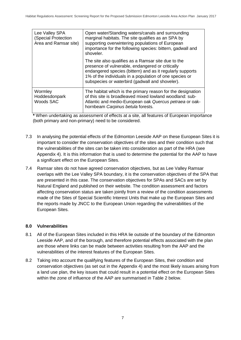| Lee Valley SPA<br>(Special Protection<br>Area and Ramsar site) | Open water/Standing waters/canals and surrounding<br>marginal habitats. The site qualifies as an SPA by<br>supporting overwintering populations of European<br>importance for the following species: bittern, gadwall and<br>shoveler.                                             |
|----------------------------------------------------------------|------------------------------------------------------------------------------------------------------------------------------------------------------------------------------------------------------------------------------------------------------------------------------------|
|                                                                | The site also qualifies as a Ramsar site due to the<br>presence of vulnerable, endangered or critically<br>endangered species (bittern) and as it regularly supports<br>1% of the individuals in a population of one species or<br>subspecies or waterbird (gadwall and shoveler). |
| Wormley<br>Hoddesdonpark<br>Woods SAC                          | The habitat which is the primary reason for the designation<br>of this site is broadleaved mixed lowland woodland: sub-<br>Atlantic and medio-European oak Quercus petraea or oak-<br>hornbeam Carpinus betula forests.                                                            |

**\*** When undertaking as assessment of effects at a site, all features of European importance (both primary and non-primary) need to be considered.

- 7.3 In analysing the potential effects of the Edmonton Leeside AAP on these European Sites it is important to consider the conservation objectives of the sites and their condition such that the vulnerabilities of the sites can be taken into consideration as part of the HRA (see Appendix 4). It is this information that is used to determine the potential for the AAP to have a significant effect on the European Sites.
- 7.4 Ramsar sites do not have agreed conservation objectives, but as Lee Valley Ramsar overlaps with the Lee Valley SPA boundary, it is the conservation objectives of the SPA that are presented in this case. The conservation objectives for SPAs and SACs are set by Natural England and published on their website. The condition assessment and factors affecting conservation status are taken jointly from a review of the condition assessments made of the Sites of Special Scientific Interest Units that make up the European Sites and the reports made by JNCC to the European Union regarding the vulnerabilities of the European Sites.

# **8.0 Vulnerabilities**

- 8.1 All of the European Sites included in this HRA lie outside of the boundary of the Edmonton Leeside AAP, and of the borough, and therefore potential effects associated with the plan are those where links can be made between activities resulting from the AAP and the vulnerabilities of the interest features of the European Sites.
- 8.2 Taking into account the qualifying features of the European Sites, their condition and conservation objectives (as set out in the Appendix 4) and the most likely issues arising from a land use plan, the key issues that could result in a potential effect on the European Sites within the zone of influence of the AAP are summarised in Table 2 below.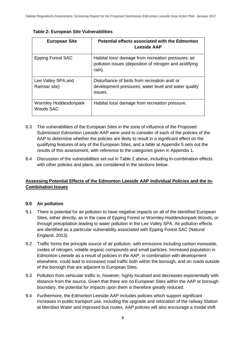| <b>European Site</b>               | Potential effects associated with the Edmonton<br>Leeside AAP                                                            |
|------------------------------------|--------------------------------------------------------------------------------------------------------------------------|
| <b>Epping Forest SAC</b>           | Habitat loss/ damage from recreation pressures; air<br>pollution issues (deposition of nitrogen and acidifying<br>rain). |
| Lee Valley SPA and<br>Ramsar site) | Disturbance of birds from recreation and/ or<br>development pressures; water level and water quality<br>issues.          |
| Wormley Hoddesdonpark<br>Woods SAC | Habitat loss/ damage from recreation pressure.                                                                           |

**Table 2: European Site Vulnerabilities**

- 8.3 The vulnerabilities of the European Sites in the zone of influence of the Proposed Submission Edmonton Leeside AAP were used to consider of each of the policies of the AAP to determine whether the policies are likely to result in a significant effect on the qualifying features of any of the European Sites, and a table at Appendix 5 sets out the results of this assessment, with reference to the categories given in Appendix 1.
- 8.4 Discussion of the vulnerabilities set out in Table 2 above, including in-combination effects with other policies and plans, are considered in the sections below.

# **Assessing Potential Effects of the Edmonton Leeside AAP Individual Policies and the In-Combination Issues**

### **9.0 Air pollution**

- 9.1 There is potential for air pollution to have negative impacts on all of the identified European Sites, either directly, as in the case of Epping Forest or Wormley-Hoddesdonpark Woods, or through precipitation leading to water pollution in the Lee Valley SPA. Air pollution effects are identified as a particular vulnerability associated with Epping Forest SAC (Natural England, 2013).
- 9.2 Traffic forms the principle source of air pollution, with emissions including carbon monoxide, oxides of nitrogen, volatile organic compounds and small particles. Increased population in Edmonton Leeside as a result of policies in the AAP, in combination with development elsewhere, could lead to increased road traffic both within the borough, and on roads outside of the borough that are adjacent to European Sites.
- 9.3 Pollution from vehicular traffic is, however, highly localised and decreases exponentially with distance from the source. Given that there are no European Sites within the AAP or borough boundary, the potential for impacts upon them is therefore greatly reduced.
- 9.4 Furthermore, the Edmonton Leeside AAP includes policies which support significant increases in public transport use, including the upgrade and relocation of the railway Station at Meridian Water and improved bus routes. AAP policies will also encourage a modal shift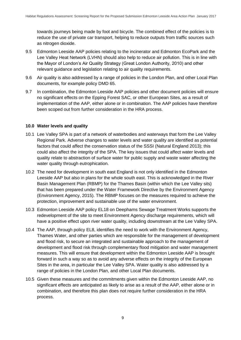towards journeys being made by foot and bicycle. The combined effect of the policies is to reduce the use of private car transport, helping to reduce outputs from traffic sources such as nitrogen dioxide.

- 9.5 Edmonton Leeside AAP policies relating to the incinerator and Edmonton EcoPark and the Lee Valley Heat Network (LVHN) should also help to reduce air pollution. This is in line with the Mayor of London's Air Quality Strategy (Great London Authority, 2010) and other relevant guidance and legislation relating to air quality requirements.
- 9.6 Air quality is also addressed by a range of policies in the London Plan, and other Local Plan documents, for example policy DMD 65.
- 9.7 In combination, the Edmonton Leeside AAP policies and other document policies will ensure no significant effects on the Epping Forest SAC, or other European Sites, as a result of implementation of the AAP, either alone or in combination. The AAP policies have therefore been scoped out from further consideration in the HRA process.

# **10.0 Water levels and quality**

- 10.1 Lee Valley SPA is part of a network of waterbodies and waterways that form the Lee Valley Regional Park. Adverse changes to water levels and water quality are identified as potential factors that could affect the conservation status of the SSSI (Natural England 2013); this could also affect the integrity of the SPA. The key issues that could affect water levels and quality relate to abstraction of surface water for public supply and waste water affecting the water quality through eutrophication.
- 10.2 The need for development in south east England is not only identified in the Edmonton Leeside AAP but also in plans for the whole south east. This is acknowledged in the River Basin Management Plan (RBMP) for the Thames Basin (within which the Lee Valley sits) that has been prepared under the Water Framework Directive by the Environment Agency (Environment Agency, 2015). The RBMP focuses on the measures required to achieve the protection, improvement and sustainable use of the water environment.
- 10.3 Edmonton Leeside AAP policy EL18 on Deephams Sewage Treatment Works supports the redevelopment of the site to meet Environment Agency discharge requirements, which will have a positive effect upon river water quality, including downstream at the Lee Valley SPA.
- 10.4 The AAP, through policy EL8, identifies the need to work with the Environment Agency, Thames Water, and other parties which are responsible for the management of development and flood risk, to secure an integrated and sustainable approach to the management of development and flood risk through complementary flood mitigation and water management measures. This will ensure that development within the Edmonton Leeside AAP is brought forward in such a way so as to avoid any adverse effects on the integrity of the European Sites in the area, in particular the Lee Valley SPA. Water quality is also addressed by a range of policies in the London Plan, and other Local Plan documents.
- 10.5 Given these measures and the commitments given within the Edmonton Leeside AAP, no significant effects are anticipated as likely to arise as a result of the AAP, either alone or in combination, and therefore this plan does not require further consideration in the HRA process.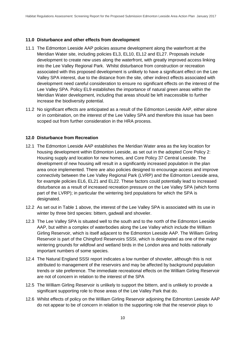# **11.0 Disturbance and other effects from development**

- 11.1 The Edmonton Leeside AAP policies assume development along the waterfront at the Meridian Water site, including policies EL3, EL10, EL12 and EL27. Proposals include development to create new uses along the waterfront, with greatly improved access linking into the Lee Valley Regional Park. Whilst disturbance from construction or recreation associated with this proposed development is unlikely to have a significant effect on the Lee Valley SPA interest, due to the distance from the site, other indirect effects associated with development need careful consideration to ensure no significant effects on the interest of the Lee Valley SPA. Policy EL9 establishes the importance of natural green areas within the Meridian Water development, including that areas should be left inaccessible to further increase the biodiversity potential.
- 11.2 No significant effects are anticipated as a result of the Edmonton Leeside AAP, either alone or in combination, on the interest of the Lee Valley SPA and therefore this issue has been scoped out from further consideration in the HRA process.

# **12.0 Disturbance from Recreation**

- 12.1 The Edmonton Leeside AAP establishes the Meridian Water area as the key location for housing development within Edmonton Leeside, as set out in the adopted Core Policy 2: Housing supply and location for new homes, and Core Policy 37 Central Leeside. The development of new housing will result in a significantly increased population in the plan area once implemented. There are also policies designed to encourage access and improve connectivity between the Lee Valley Regional Park (LVRP) and the Edmonton Leeside area, for example policies EL6, EL21 and EL22. These factors could potentially lead to increased disturbance as a result of increased recreation pressure on the Lee Valley SPA (which forms part of the LVRP); in particular the wintering bird populations for which the SPA is designated.
- 12.2 As set out in Table 1 above, the interest of the Lee Valley SPA is associated with its use in winter by three bird species: bittern, gadwall and shoveler.
- 12.3 The Lee Valley SPA is situated well to the south and to the north of the Edmonton Leeside AAP, but within a complex of waterbodies along the Lee Valley which include the William Girling Reservoir, which is itself adjacent to the Edmonton Leeside AAP. The William Girling Reservoir is part of the Chingford Reservoirs SSSI, which is designated as one of the major wintering grounds for wildfowl and wetland birds in the London area and holds nationally important numbers of some species.
- 12.4 The Natural England SSSI report indicates a low number of shoveler, although this is not attributed to management of the reservoirs and may be affected by background population trends or site preference. The immediate recreational effects on the William Girling Reservoir are not of concern in relation to the interest of the SPA
- 12.5 The William Girling Reservoir is unlikely to support the bittern, and is unlikely to provide a significant supporting role to those areas of the Lee Valley Park that do.
- 12.6 Whilst effects of policy on the William Girling Reservoir adjoining the Edmonton Leeside AAP do not appear to be of concern in relation to the supporting role that the reservoir plays to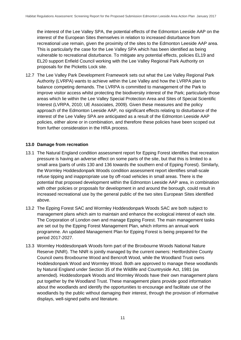the interest of the Lee Valley SPA, the potential effects of the Edmonton Leeside AAP on the interest of the European Sites themselves in relation to increased disturbance from recreational use remain, given the proximity of the sites to the Edmonton Leeside AAP area. This is particularly the case for the Lee Valley SPA which has been identified as being vulnerable to recreational disturbance. To mitigate any potential effects, policies EL19 and EL20 support Enfield Council working with the Lee Valley Regional Park Authority on proposals for the Picketts Lock site.

12.7 The Lee Valley Park Development Framework sets out what the Lee Valley Regional Park Authority (LVRPA) wants to achieve within the Lee Valley and how the LVRPA plan to balance competing demands. The LVRPA is committed to management of the Park to improve visitor access whilst protecting the biodiversity interest of the Park; particularly those areas which lie within the Lee Valley Special Protection Area and Sites of Special Scientific Interest (LVRPA, 2010; UE Associates, 2009). Given these measures and the policy approach of the Edmonton Leeside AAP, no significant effects relating to disturbance of the interest of the Lee Valley SPA are anticipated as a result of the Edmonton Leeside AAP policies, either alone or in combination, and therefore these policies have been scoped out from further consideration in the HRA process.

# **13.0 Damage from recreation**

- 13.1 The Natural England condition assessment report for Epping Forest identifies that recreation pressure is having an adverse effect on some parts of the site, but that this is limited to a small area (parts of units 130 and 136 towards the southern end of Epping Forest). Similarly, the Wormley Hoddesdonpark Woods condition assessment report identifies small-scale refuse tipping and inappropriate use by off-road vehicles in small areas. There is the potential that proposed development within the Edmonton Leeside AAP area, in combination with other policies or proposals for development in and around the borough, could result in increased recreational use by the general public of the two sites European Sites identified above.
- 13.2 The Epping Forest SAC and Wormley Hoddesdonpark Woods SAC are both subject to management plans which aim to maintain and enhance the ecological interest of each site. The Corporation of London own and manage Epping Forest. The main management tasks are set out by the Epping Forest Management Plan, which informs an annual work programme. An updated Management Plan for Epping Forest is being prepared for the period 2017-2027.
- 13.3 Wormley Hoddesdonpark Woods form part of the Broxbourne Woods National Nature Reserve (NNR). The NNR is jointly managed by the current owners: Hertfordshire County Council owns Broxbourne Wood and Bencroft Wood, while the Woodland Trust owns Hoddesdonpark Wood and Wormley Wood. Both are approved to manage these woodlands by Natural England under Section 35 of the Wildlife and Countryside Act, 1981 (as amended). Hoddesdonpark Woods and Wormley Woods have their own management plans put together by the Woodland Trust. These management plans provide good information about the woodlands and identify the opportunities to encourage and facilitate use of the woodlands by the public without damaging their interest, through the provision of informative displays, well-signed paths and literature.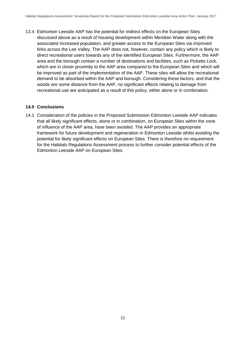13.4 Edmonton Leeside AAP has the potential for indirect effects on the European Sites discussed above as a result of housing development within Meridian Water along with the associated increased population, and greater access to the European Sites via improved links across the Lee Valley. The AAP does not, however, contain any policy which is likely to direct recreational users towards any of the identified European Sites. Furthermore, the AAP area and the borough contain a number of destinations and facilities, such as Picketts Lock, which are in closer proximity to the AAP area compared to the European Sites and which will be improved as part of the implementation of the AAP. These sites will allow the recreational demand to be absorbed within the AAP and borough. Considering these factors, and that the woods are some distance from the AAP, no significant effects relating to damage from recreational use are anticipated as a result of this policy, either alone or in combination.

### **14.0 Conclusions**

14.1 Consideration of the policies in the Proposed Submission Edmonton Leeside AAP indicates that all likely significant effects, alone or in combination, on European Sites within the zone of influence of the AAP area, have been avoided. The AAP provides an appropriate framework for future development and regeneration in Edmonton Leeside whilst avoiding the potential for likely significant effects on European Sites. There is therefore no requirement for the Habitats Regulations Assessment process to further consider potential effects of the Edmonton Leeside AAP on European Sites.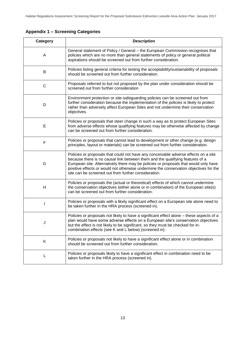|  |  | <b>Appendix 1 - Screening Categories</b> |  |
|--|--|------------------------------------------|--|
|--|--|------------------------------------------|--|

| <b>Description</b><br>Category |                                                                                                                                                                                                                                                                                                                                                                                                               |  |
|--------------------------------|---------------------------------------------------------------------------------------------------------------------------------------------------------------------------------------------------------------------------------------------------------------------------------------------------------------------------------------------------------------------------------------------------------------|--|
| A                              | General statement of Policy / General - the European Commission recognises that<br>policies which are no more than general statements of policy or general political<br>aspirations should be screened out from further consideration.                                                                                                                                                                        |  |
| B                              | Policies listing general criteria for testing the acceptability/sustainability of proposals<br>should be screened out from further consideration.                                                                                                                                                                                                                                                             |  |
| C                              | Proposals referred to but not proposed by the plan under consideration should be<br>screened out from further consideration                                                                                                                                                                                                                                                                                   |  |
| D                              | Environment protection or site-safeguarding policies can be screened out from<br>further consideration because the implementation of the policies is likely to protect<br>rather than adversely affect European Sites and not undermine their conservation<br>objectives.                                                                                                                                     |  |
| E                              | Policies or proposals that steer change in such a way as to protect European Sites<br>from adverse effects whose qualifying features may be otherwise affected by change<br>can be screened out from further consideration.                                                                                                                                                                                   |  |
| F                              | Policies or proposals that cannot lead to development or other change (e.g. design<br>principles, layout or materials) can be screened out from further consideration.                                                                                                                                                                                                                                        |  |
| G                              | Policies or proposals that could not have any conceivable adverse effects on a site<br>because there is no causal link between them and the qualifying features of a<br>European site. Alternatively there may be policies or proposals that would only have<br>positive effects or would not otherwise undermine the conservation objectives for the<br>site can be screened out from further consideration. |  |
| H                              | Policies or proposals the (actual or theoretical) effects of which cannot undermine<br>the conservation objectives (either alone or in combination) of the European site(s)<br>can be screened out from further consideration.                                                                                                                                                                                |  |
|                                | Policies or proposals with a likely significant effect on a European site alone need to<br>be taken further in the HRA process (screened in).                                                                                                                                                                                                                                                                 |  |
| J                              | Policies or proposals not likely to have a significant effect alone - these aspects of a<br>plan would have some adverse effects on a European site's conservation objectives<br>but the effect is not likely to be significant, so they must be checked for in-<br>combination effects (see K and L below) (screened in).                                                                                    |  |
| Κ                              | Policies or proposals not likely to have a significant effect alone or in combination<br>should be screened out from further consideration.                                                                                                                                                                                                                                                                   |  |
| L                              | Policies or proposals likely to have a significant effect in combination need to be<br>taken further in the HRA process (screened in).                                                                                                                                                                                                                                                                        |  |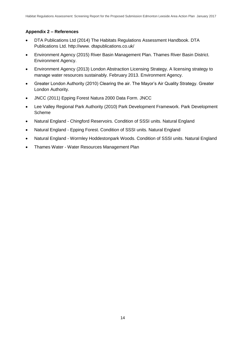# **Appendix 2 – References**

- DTA Publications Ltd (2014) The Habitats Regulations Assessment Handbook. DTA Publications Ltd. http://www. dtapublications.co.uk/
- Environment Agency (2015) River Basin Management Plan. Thames River Basin District. Environment Agency.
- Environment Agency (2013) London Abstraction Licensing Strategy. A licensing strategy to manage water resources sustainably. February 2013. Environment Agency.
- Greater London Authority (2010) Clearing the air. The Mayor's Air Quality Strategy. Greater London Authority.
- JNCC (2011) Epping Forest Natura 2000 Data Form. JNCC
- Lee Valley Regional Park Authority (2010) Park Development Framework. Park Development Scheme
- Natural England Chingford Reservoirs. Condition of SSSI units. Natural England
- Natural England Epping Forest. Condition of SSSI units. Natural England
- Natural England Wormley Hoddestonpark Woods. Condition of SSSI units. Natural England
- Thames Water Water Resources Management Plan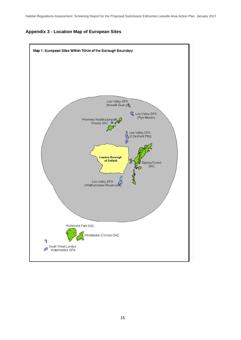### **Appendix 3 - Location Map of European Sites**

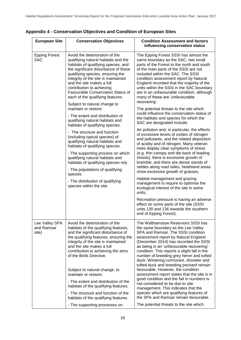| <b>European Site</b><br><b>Conservation Objectives</b><br><b>Condition Assessment and factors</b><br>influencing conservation status<br><b>Epping Forest</b><br>Avoid the deterioration of the<br>The Epping Forest SSSI has almost the<br><b>SAC</b><br>qualifying natural habitats and the<br>same boundary as the SAC; two small<br>habitats of qualifying species, and<br>parts of the Forest to the north and south<br>the significant disturbance of those<br>of the main parts of the SSSI are not<br>qualifying species, ensuring the<br>included within the SAC. The SSSI<br>integrity of the site is maintained<br>condition assessment report by Natural                                                                                                                                                                           |  |
|-----------------------------------------------------------------------------------------------------------------------------------------------------------------------------------------------------------------------------------------------------------------------------------------------------------------------------------------------------------------------------------------------------------------------------------------------------------------------------------------------------------------------------------------------------------------------------------------------------------------------------------------------------------------------------------------------------------------------------------------------------------------------------------------------------------------------------------------------|--|
|                                                                                                                                                                                                                                                                                                                                                                                                                                                                                                                                                                                                                                                                                                                                                                                                                                               |  |
| and the site makes a full<br>England recorded that the majority of the<br>contribution to achieving<br>units within the SSSI in the SAC boundary<br><b>Favourable Conservation Status of</b><br>are in an unfavourable condition, although<br>each of the qualifying features.<br>many of these are 'unfavourable<br>recovering'.<br>Subject to natural change to<br>maintain or restore:<br>The potential threats to the site which<br>could influence the conservation status of<br>- The extent and distribution of                                                                                                                                                                                                                                                                                                                        |  |
| the habitats and species for which the<br>qualifying natural habitats and<br>SAC are designated include:<br>habitats of qualifying species.                                                                                                                                                                                                                                                                                                                                                                                                                                                                                                                                                                                                                                                                                                   |  |
| Air pollution and, in particular, the effects<br>- The structure and function<br>of excessive levels of oxides of nitrogen<br>(including typical species) of<br>and pollutants, and the related deposition<br>qualifying natural habitats and<br>of acidity and of nitrogen. Many veteran<br>habitats of qualifying species.<br>trees display clear symptoms of stress<br>(e.g. thin canopy and die-back of leading<br>- The supporting process on which<br>qualifying natural habitats and<br>shoots), there is excessive growth of<br>habitats of qualifying species rely<br>bramble, and there are dense stands of<br>nettles along road sides, heathland areas<br>- The populations of qualifying<br>show excessive growth of grasses;<br>species                                                                                         |  |
| Habitat management and grazing<br>- The distribution of qualifying<br>management is require to optimise the<br>species within the site.<br>ecological interest of the site in some<br>units;                                                                                                                                                                                                                                                                                                                                                                                                                                                                                                                                                                                                                                                  |  |
| Recreation pressure is having an adverse<br>effect on some parts of the site (SSSI<br>units 130 and 136 towards the southern<br>end of Epping Forest).                                                                                                                                                                                                                                                                                                                                                                                                                                                                                                                                                                                                                                                                                        |  |
| Avoid the deterioration of the<br>The Walthamstow Reservoirs SSSI has<br>Lee Valley SPA<br>and Ramsar<br>the same boundary as the Lee Valley<br>habitats of the qualifying features,<br>and the significant disturbance of<br>SPA and Ramsar. The SSSI condition<br>site)<br>the qualifying features, ensuring the<br>assessment report by Natural England<br>integrity of the site is maintained<br>(December 2014) has recorded the SSSI<br>and the site makes a full<br>as being in an 'unfavourable recovering'<br>contribution to achieving the aims<br>condition. This reports a slight fall in the<br>of the Birds Directive.<br>number of breeding grey heron and tufted<br>duck. Wintering cormorant, shoveler and<br>tufted duck and breeding pochard remain<br>favourable. However, the condition<br>Subject to natural change, to |  |
| maintain or restore:<br>assessment report states that the site is in<br>good condition and the fall in numbers is<br>- The extent and distribution of the<br>not considered to be due to site<br>habitats of the qualifying features;<br>management. This indicates that the<br>species which are qualifying features of<br>- The structure and function of the                                                                                                                                                                                                                                                                                                                                                                                                                                                                               |  |
| the SPA and Ramsar remain favourable.<br>habitats of the qualifying features<br>The potential threats to the site which<br>- The supporting processes on                                                                                                                                                                                                                                                                                                                                                                                                                                                                                                                                                                                                                                                                                      |  |

# **Appendix 4 - Conservation Objectives and Condition of European Sites**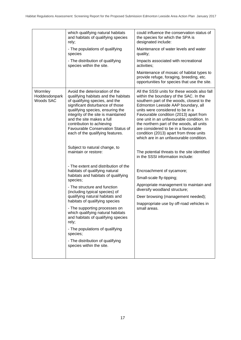|                                       | which qualifying natural habitats<br>and habitats of qualifying species<br>rely;<br>- The populations of qualifying                                                                                                                                                                                                                                                                                                                                                                                  | could influence the conservation status of<br>the species for which the SPA is<br>designated include:<br>Maintenance of water levels and water                                                                                                                                                                                                                                                                                                                                   |  |
|---------------------------------------|------------------------------------------------------------------------------------------------------------------------------------------------------------------------------------------------------------------------------------------------------------------------------------------------------------------------------------------------------------------------------------------------------------------------------------------------------------------------------------------------------|----------------------------------------------------------------------------------------------------------------------------------------------------------------------------------------------------------------------------------------------------------------------------------------------------------------------------------------------------------------------------------------------------------------------------------------------------------------------------------|--|
|                                       | species<br>- The distribution of qualifying<br>species within the site.                                                                                                                                                                                                                                                                                                                                                                                                                              | quality;<br>Impacts associated with recreational<br>activities;                                                                                                                                                                                                                                                                                                                                                                                                                  |  |
|                                       |                                                                                                                                                                                                                                                                                                                                                                                                                                                                                                      | Maintenance of mosaic of habitat types to<br>provide refuge, foraging, breeding, etc.<br>opportunities for species that use the site.                                                                                                                                                                                                                                                                                                                                            |  |
| Wormley<br>Hoddesdonpark<br>Woods SAC | Avoid the deterioration of the<br>qualifying habitats and the habitats<br>of qualifying species, and the<br>significant disturbance of those<br>qualifying species, ensuring the<br>integrity of the site is maintained<br>and the site makes a full<br>contribution to achieving<br>Favourable Conservation Status of<br>each of the qualifying features.                                                                                                                                           | All the SSSI units for these woods also fall<br>within the boundary of the SAC. In the<br>southern part of the woods, closest to the<br>Edmonton Leeside AAP boundary, all<br>units were considered to be in a<br>Favourable condition (2013) apart from<br>one unit in an unfavourable condition. In<br>the northern part of the woods, all units<br>are considered to be in a favourable<br>condition (2013) apart from three units<br>which are in an unfavourable condition. |  |
|                                       | Subject to natural change, to<br>maintain or restore:                                                                                                                                                                                                                                                                                                                                                                                                                                                | The potential threats to the site identified<br>in the SSSI information include:                                                                                                                                                                                                                                                                                                                                                                                                 |  |
|                                       | - The extent and distribution of the<br>habitats of qualifying natural<br>habitats and habitats of qualifying<br>species;<br>- The structure and function<br>(including typical species) of<br>qualifying natural habitats and<br>habitats of qualifying species<br>- The supporting processes on<br>which qualifying natural habitats<br>and habitats of qualifying species<br>rely;<br>- The populations of qualifying<br>species;<br>- The distribution of qualifying<br>species within the site. | Encroachment of sycamore;<br>Small-scale fly-tipping;<br>Appropriate management to maintain and<br>diversify woodland structure;<br>Deer browsing (management needed);<br>Inappropriate use by off-road vehicles in<br>small areas.                                                                                                                                                                                                                                              |  |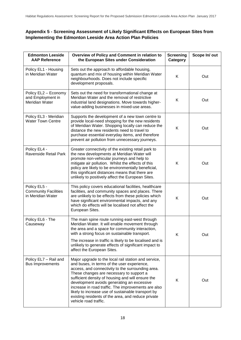# **Appendix 5 - Screening Assessment of Likely Significant Effects on European Sites from Implementing the Edmonton Leeside Area Action Plan Policies**

| <b>Edmonton Leeside</b><br><b>AAP Reference</b>                  | Overview of Policy and Comment in relation to<br>the European Sites under Consideration                                                                                                                                                                                                                                                                                                                                                                                                             | <b>Screening</b><br>Category | Scope In/out |
|------------------------------------------------------------------|-----------------------------------------------------------------------------------------------------------------------------------------------------------------------------------------------------------------------------------------------------------------------------------------------------------------------------------------------------------------------------------------------------------------------------------------------------------------------------------------------------|------------------------------|--------------|
| Policy EL1 - Housing<br>in Meridian Water                        | Sets out the approach to affordable housing,<br>quantum and mix of housing within Meridian Water<br>neighbourhoods. Does not include specific<br>development proposals.                                                                                                                                                                                                                                                                                                                             | Κ                            | Out          |
| Policy EL2 - Economy<br>and Employment in<br>Meridian Water      | Sets out the need for transformational change at<br>Meridian Water and the removal of restrictive<br>industrial land designations. Move towards higher-<br>value-adding businesses in mixed-use areas.                                                                                                                                                                                                                                                                                              | Κ                            | Out          |
| Policy EL3 - Meridian<br><b>Water Town Centre</b>                | Supports the development of a new town centre to<br>provide local-need shopping for the new residents<br>of Meridian Water. Shopping locally can reduce the<br>distance the new residents need to travel to<br>purchase essential everyday items, and therefore<br>prevent air pollution from unnecessary journeys.                                                                                                                                                                                 | Κ                            | Out          |
| Policy EL4 -<br>Ravenside Retail Park                            | Greater connectivity of the existing retail park to<br>the new developments at Meridian Water will<br>promote non-vehicular journeys and help to<br>mitigate air pollution. Whilst the effects of this<br>policy are likely to be environmentally beneficial,<br>this significant distances means that there are<br>unlikely to positively affect the European Sites.                                                                                                                               | Κ                            | Out          |
| Policy EL5 -<br><b>Community Facilities</b><br>in Meridian Water | This policy covers educational facilities, healthcare<br>facilities, and community spaces and places. There<br>are unlikely to be effects from these policies which<br>have significant environmental impacts, and any<br>which do effects will be localised not affect the<br>European Sites.                                                                                                                                                                                                      | K                            | Out          |
| Policy EL6 - The<br>Causeway                                     | The main spine route running east-west through<br>Meridian Water. It will enable movement through<br>the area and a space for community interaction,<br>with a strong focus on sustainable transport.<br>The increase in traffic is likely to be localised and is<br>unlikely to generate effects of significant impact to<br>affect the European Sites.                                                                                                                                            | Κ                            | Out          |
| Policy EL7 - Rail and<br><b>Bus Improvements</b>                 | Major upgrade to the local rail station and service,<br>and buses, in terms of the user experience,<br>access, and connectivity to the surrounding area.<br>These changes are necessary to support a<br>sufficient density of housing and will ensure the<br>development avoids generating an excessive<br>increase in road traffic. The improvements are also<br>likely to increase use of sustainable transport by<br>existing residents of the area, and reduce private<br>vehicle road traffic. | K                            | Out          |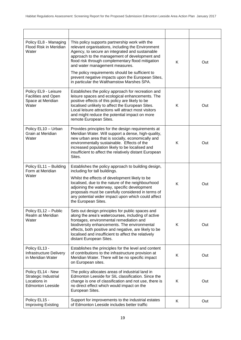| Policy EL8 - Managing<br>Flood Risk in Meridian<br>Water                             | This policy supports partnership work with the<br>relevant organisations, including the Environment<br>Agency, to secure an integrated and sustainable<br>approach to the management of development and<br>flood risk through complementary flood mitigation<br>and water management measures.<br>The policy requirements should be sufficient to                              | K | Out |
|--------------------------------------------------------------------------------------|--------------------------------------------------------------------------------------------------------------------------------------------------------------------------------------------------------------------------------------------------------------------------------------------------------------------------------------------------------------------------------|---|-----|
|                                                                                      | prevent negative impacts upon the European Sites,<br>in particular the Walthamstow Marshes SPA.                                                                                                                                                                                                                                                                                |   |     |
| Policy EL9 - Leisure<br><b>Facilities and Open</b><br>Space at Meridian<br>Water     | Establishes the policy approach for recreation and<br>leisure spaces and ecological enhancements. The<br>positive effects of this policy are likely to be<br>localised unlikely to affect the European Sites.<br>Local leisure attractions will attract most visitors<br>and might reduce the potential impact on more<br>remote European Sites.                               | K | Out |
| Policy EL10 - Urban<br>Grain at Meridian<br>Water                                    | Provides principles for the design requirements at<br>Meridian Water. Will support a dense, high-quality,<br>new urban area that is socially, economically and<br>environmentally sustainable. Effects of the<br>increased population likely to be localised and<br>insufficient to affect the relatively distant European<br>Sites.                                           | Κ | Out |
| Policy EL11 - Building<br>Form at Meridian<br>Water                                  | Establishes the policy approach to building design,<br>including for tall buildings.<br>Whilst the effects of development likely to be<br>localised, due to the nature of the neighbourhood<br>adjoining the waterway, specific development<br>proposals must be carefully considered in terms of<br>any potential wider impact upon which could affect<br>the European Sites. | K | Out |
| Policy EL12 - Public<br>Realm at Meridian<br>Water                                   | Sets out design principles for public spaces and<br>along the area's watercourses, including of active<br>frontages, environmental remediation and<br>biodiversity enhancements. The environmental<br>effects, both positive and negative, are likely to be<br>localised and insufficient to affect the relatively<br>distant European Sites.                                  | Κ | Out |
| Policy EL13 -<br>Infrastructure Delivery<br>in Meridian Water                        | Establishes the principles for the level and content<br>of contributions to the infrastructure provision at<br>Meridian Water. There will be no specific impact<br>on European sites.                                                                                                                                                                                          | Κ | Out |
| Policy EL14 - New<br>Strategic Industrial<br>Locations in<br><b>Edmonton Leeside</b> | The policy allocates areas of industrial land in<br>Edmonton Leeside for SIL classification. Since the<br>change is one of classification and not use, there is<br>no direct effect which would impact on the<br>European Sites.                                                                                                                                               | Κ | Out |
| Policy EL15 -<br>Improving Existing                                                  | Support for improvements to the industrial estates<br>of Edmonton Leeside includes better traffic                                                                                                                                                                                                                                                                              | K | Out |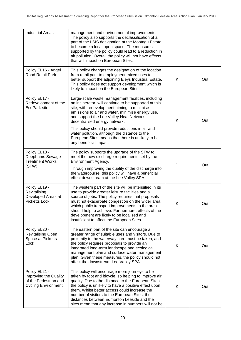| <b>Industrial Areas</b>                                                                       | management and environmental improvements.<br>The policy also supports the declassification of a<br>part of the LSIS designation at the Montagu Estate<br>to become a local open space. The measures<br>supported by the policy could lead to a reduction in<br>air pollution. Overall the policy will not have effects<br>that will impact on European Sites.                                                                                       |   |     |
|-----------------------------------------------------------------------------------------------|------------------------------------------------------------------------------------------------------------------------------------------------------------------------------------------------------------------------------------------------------------------------------------------------------------------------------------------------------------------------------------------------------------------------------------------------------|---|-----|
| Policy EL16 - Angel<br>Road Retail Park                                                       | This policy changes the designation of the location<br>from retail park to employment mixed uses to<br>better support the adjoining Eleys Industrial Estate.<br>This policy does not support development which is<br>likely to impact on the European Sites.                                                                                                                                                                                         | K | Out |
| Policy EL17 -<br>Redevelopment of the<br>EcoPark site                                         | Large-scale waste management facilities, including<br>an incinerator, will continue to be supported at this<br>site, with redevelopment aiming to minimise<br>emissions to air and water, minimise energy use,<br>and support the Lee Valley Heat Network<br>decentralised energy network.<br>This policy should provide reductions in air and<br>water pollution, although the distance to the<br>European Sites means that there is unlikely to be | Κ | Out |
|                                                                                               | any beneficial impact.                                                                                                                                                                                                                                                                                                                                                                                                                               |   |     |
| Policy EL18 -<br>Deephams Sewage<br><b>Treatment Works</b><br>(STW)                           | The policy supports the upgrade of the STW to<br>meet the new discharge requirements set by the<br>Environment Agency.<br>Through improving the quality of the discharge into<br>the watercourse, this policy will have a beneficial<br>effect downstream at the Lee Valley SPA.                                                                                                                                                                     | D | Out |
| Policy EL19 -<br>Revitalising<br>Developed Areas at<br><b>Picketts Lock</b>                   | The western part of the site will be intensified in its<br>use to provide greater leisure facilities and a<br>source of jobs. The policy requires that proposals<br>must not exacerbate congestion on the wider area,<br>which public transport improvements to the area<br>should help to achieve. Furthermore, effects of the<br>development are likely to be localised and<br>insufficient to affect the European Sites                           | K | Out |
| Policy EL20 -<br><b>Revitalising Open</b><br>Space at Picketts<br>Lock                        | The eastern part of the site can encourage a<br>greater range of suitable uses and visitors. Due to<br>proximity to the waterway care must be taken, and<br>the policy requires proposals to provide an<br>integrated long-term landscape and ecological<br>management plan and surface water management<br>plan. Given these measures, the policy should not<br>affect the downstream Lee Valley SPA.                                               | Κ | Out |
| Policy EL21 -<br>Improving the Quality<br>of the Pedestrian and<br><b>Cycling Environment</b> | This policy will encourage more journeys to be<br>taken by foot and bicycle, so helping to improve air<br>quality. Due to the distance to the European Sites,<br>the policy is unlikely to have a positive effect upon<br>them. Whilst better access could increase the<br>number of visitors to the European Sites, the<br>distances between Edmonton Leeside and the<br>sites mean that any increase in numbers will not be                        | Κ | Out |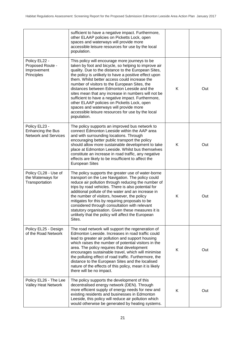|                                                                   | sufficient to have a negative impact. Furthermore,<br>other ELAAP policies on Picketts Lock, open<br>spaces and waterways will provide more<br>accessible leisure resources for use by the local<br>population.                                                                                                                                                                                                                                                                                                                                                                                                                                  |   |     |
|-------------------------------------------------------------------|--------------------------------------------------------------------------------------------------------------------------------------------------------------------------------------------------------------------------------------------------------------------------------------------------------------------------------------------------------------------------------------------------------------------------------------------------------------------------------------------------------------------------------------------------------------------------------------------------------------------------------------------------|---|-----|
| Policy EL22 -<br>Proposed Route -<br>Improvement<br>Principles    | This policy will encourage more journeys to be<br>taken by foot and bicycle, so helping to improve air<br>quality. Due to the distance to the European Sites,<br>the policy is unlikely to have a positive effect upon<br>them. Whilst better access could increase the<br>number of visitors to the European Sites, the<br>distances between Edmonton Leeside and the<br>sites mean that any increase in numbers will not be<br>sufficient to have a negative impact. Furthermore,<br>other ELAAP policies on Picketts Lock, open<br>spaces and waterways will provide more<br>accessible leisure resources for use by the local<br>population. | K | Out |
| Policy EL23 -<br>Enhancing the Bus<br><b>Network and Services</b> | The policy supports an improved bus network to<br>connect Edmonton Leeside within the AAP area<br>and with surrounding locations. Through<br>encouraging better public transport the policy<br>should allow more sustainable development to take<br>place at Edmonton Leeside. Whilst bus themselves<br>constitute an increase in road traffic, any negative<br>effects are likely to be insufficient to affect the<br><b>European Sites</b>                                                                                                                                                                                                     | K | Out |
| Policy CL28 - Use of<br>the Waterways for<br>Transportation       | The policy supports the greater use of water-borne<br>transport on the Lee Navigation. The policy could<br>reduce air pollution through reducing the number of<br>trips by road vehicles. There is also potential for<br>additional pollute of the water and an increase in<br>the number of visitors, however, the policy<br>mitigates for this by requiring proposals to be<br>considered through consultation with relevant<br>statutory organisation. Given these measures it is<br>unlikely that the policy will affect the European<br>Sites.                                                                                              | Κ | Out |
| Policy EL25 - Design<br>of the Road Network                       | The road network will support the regeneration of<br>Edmonton Leeside. Increases in road traffic could<br>lead to greater air pollution and support housing<br>which raises the number of potential visitors in the<br>area. The policy requires that development<br>encourages sustainable travel, which will minimise<br>the polluting effect of road traffic. Furthermore, the<br>distance to the European Sites and the localised<br>nature of the effects of this policy, mean it is likely<br>there will be no impact.                                                                                                                     | K | Out |
| Policy EL26 - The Lee<br><b>Valley Heat Network</b>               | The policy supports the development of this<br>decentralised energy network (DEN). Through<br>more efficient supply of energy needs for new and<br>existing residents and businesses in Edmonton<br>Leeside, this policy will reduce air pollution which<br>would otherwise be generated by heating systems.                                                                                                                                                                                                                                                                                                                                     | K | Out |